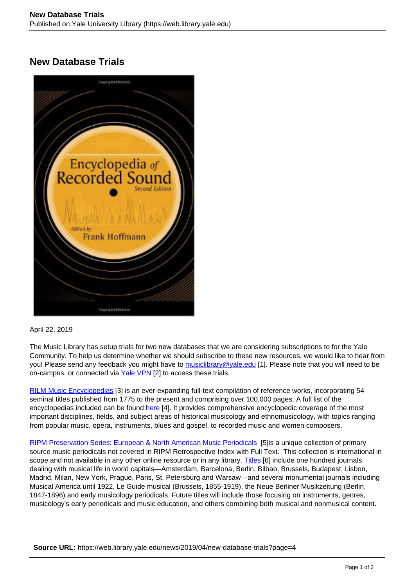## **New Database Trials**



## April 22, 2019

The Music Library has setup trials for two new databases that we are considering subscriptions to for the Yale Community. To help us determine whether we should subscribe to these new resources, we would like to hear from you! Please send any feedback you might have to [musiclibrary@yale.edu](mailto:musiclibrary@yale.edu?subject=RILM%20and%20RIPM%20Trial%20Feedback) [1]. Please note that you will need to be on-campus, or connected via Yale VPN [2] to access these trials.

RILM Music Encyclopedias [3] is an ever-expanding full-text compilation of reference works, incorporating 54 seminal titles published from 1775 to the present and comprising over 100,000 pages. A full list of the encyclopedias included can be found here [4]. It provides comprehensive encyclopedic coverage of the most important disciplines, fields, and subject areas of historical musicology and ethnomusicology, with topics ranging from popular music, opera, instruments, blues and gospel, to recorded music and women composers.

RIPM Preservation Series: European & North American Music Periodicals [5]is a unique collection of primary source music periodicals not covered in RIPM Retrospective Index with Full Text. This collection is international in scope and not available in any other online resource or in any library. Titles [6] include one hundred journals dealing with musical life in world capitals—Amsterdam, Barcelona, Berlin, Bilbao, Brussels, Budapest, Lisbon, Madrid, Milan, New York, Prague, Paris, St. Petersburg and Warsaw—and several monumental journals including Musical America until 1922, Le Guide musical (Brussels, 1855-1919), the Neue Berliner Musikzeitung (Berlin, 1847-1896) and early musicology periodicals. Future titles will include those focusing on instruments, genres, musicology's early periodicals and music education, and others combining both musical and nonmusical content.